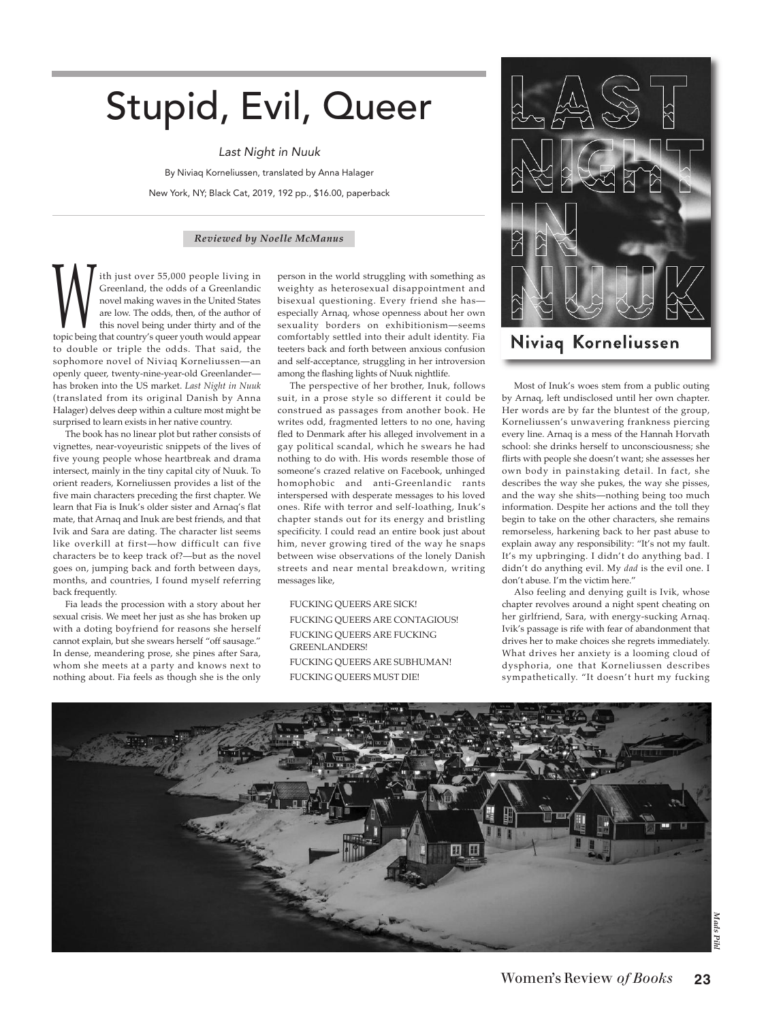## Stupid, Evil, Queer

Last Night in Nuuk

By Niviaq Korneliussen, translated by Anna Halager New York, NY; Black Cat, 2019, 192 pp., \$16.00, paperback

## *Reviewed by Noelle McManus*

ith just over 55,000 people living in Greenland, the odds of a Greenlandic novel making waves in the United States are low. The odds, then, of the author of this novel being under thirty and of the **that country** waves in the United States are low. The odds, then, of the author of this novel being under thirty and of the topic being that country's queer youth would appear to double or triple the odds. That said, the sophomore novel of Niviaq Korneliussen—an openly queer, twenty-nine-year-old Greenlander has broken into the US market. *Last Night in Nuuk* (translated from its original Danish by Anna Halager) delves deep within a culture most might be surprised to learn exists in her native country.

The book has no linear plot but rather consists of vignettes, near-voyeuristic snippets of the lives of five young people whose heartbreak and drama intersect, mainly in the tiny capital city of Nuuk. To orient readers, Korneliussen provides a list of the five main characters preceding the first chapter. We learn that Fia is Inuk's older sister and Arnaq's flat mate, that Arnaq and Inuk are best friends, and that Ivik and Sara are dating. The character list seems like overkill at first—how difficult can five characters be to keep track of?—but as the novel goes on, jumping back and forth between days, months, and countries, I found myself referring back frequently.

Fia leads the procession with a story about her sexual crisis. We meet her just as she has broken up with a doting boyfriend for reasons she herself cannot explain, but she swears herself "off sausage." In dense, meandering prose, she pines after Sara, whom she meets at a party and knows next to nothing about. Fia feels as though she is the only

person in the world struggling with something as weighty as heterosexual disappointment and bisexual questioning. Every friend she has especially Arnaq, whose openness about her own sexuality borders on exhibitionism—seems comfortably settled into their adult identity. Fia teeters back and forth between anxious confusion and self-acceptance, struggling in her introversion among the flashing lights of Nuuk nightlife.

The perspective of her brother, Inuk, follows suit, in a prose style so different it could be construed as passages from another book. He writes odd, fragmented letters to no one, having fled to Denmark after his alleged involvement in a gay political scandal, which he swears he had nothing to do with. His words resemble those of someone's crazed relative on Facebook, unhinged homophobic and anti-Greenlandic rants interspersed with desperate messages to his loved ones. Rife with terror and self-loathing, Inuk's chapter stands out for its energy and bristling specificity. I could read an entire book just about him, never growing tired of the way he snaps between wise observations of the lonely Danish streets and near mental breakdown, writing messages like,

FUCKING QUEERS ARE SICK! FUCKING QUEERS ARE CONTAGIOUS! FUCKING QUEERS ARE FUCKING GREENLANDERS! FUCKING QUEERS ARE SUBHUMAN! FUCKING QUEERS MUST DIE!



Niviaq Korneliussen

Most of Inuk's woes stem from a public outing by Arnaq, left undisclosed until her own chapter. Her words are by far the bluntest of the group, Korneliussen's unwavering frankness piercing every line. Arnaq is a mess of the Hannah Horvath school: she drinks herself to unconsciousness; she flirts with people she doesn't want; she assesses her own body in painstaking detail. In fact, she describes the way she pukes, the way she pisses, and the way she shits—nothing being too much information. Despite her actions and the toll they begin to take on the other characters, she remains remorseless, harkening back to her past abuse to explain away any responsibility: "It's not my fault. It's my upbringing. I didn't do anything bad. I didn't do anything evil. My *dad* is the evil one. I don't abuse. I'm the victim here."

Also feeling and denying guilt is Ivik, whose chapter revolves around a night spent cheating on her girlfriend, Sara, with energy-sucking Arnaq. Ivik's passage is rife with fear of abandonment that drives her to make choices she regrets immediately. What drives her anxiety is a looming cloud of dysphoria, one that Korneliussen describes sympathetically. "It doesn't hurt my fucking